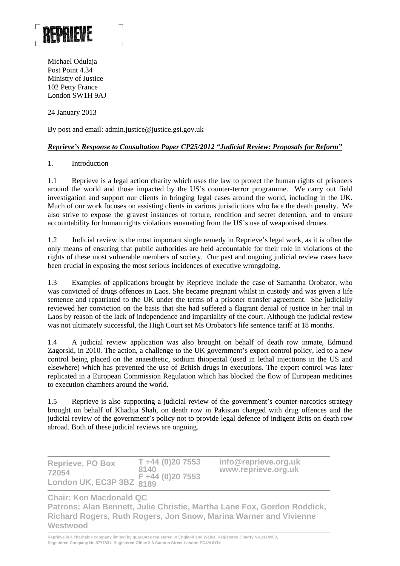

Michael Odulaja Post Point 4.34 Ministry of Justice 102 Petty France London SW1H 9AJ

24 January 2013

By post and email: admin.justice@justice.gsi.gov.uk

# *Reprieve's Response to Consultation Paper CP25/2012 "Judicial Review: Proposals for Reform"*

### 1. Introduction

1.1 Reprieve is a legal action charity which uses the law to protect the human rights of prisoners around the world and those impacted by the US's counter-terror programme. We carry out field investigation and support our clients in bringing legal cases around the world, including in the UK. Much of our work focuses on assisting clients in various jurisdictions who face the death penalty. We also strive to expose the gravest instances of torture, rendition and secret detention, and to ensure accountability for human rights violations emanating from the US's use of weaponised drones.

1.2 Judicial review is the most important single remedy in Reprieve's legal work, as it is often the only means of ensuring that public authorities are held accountable for their role in violations of the rights of these most vulnerable members of society. Our past and ongoing judicial review cases have been crucial in exposing the most serious incidences of executive wrongdoing.

1.3 Examples of applications brought by Reprieve include the case of Samantha Orobator, who was convicted of drugs offences in Laos. She became pregnant whilst in custody and was given a life sentence and repatriated to the UK under the terms of a prisoner transfer agreement. She judicially reviewed her conviction on the basis that she had suffered a flagrant denial of justice in her trial in Laos by reason of the lack of independence and impartiality of the court. Although the judicial review was not ultimately successful, the High Court set Ms Orobator's life sentence tariff at 18 months.

1.4 A judicial review application was also brought on behalf of death row inmate, Edmund Zagorski, in 2010. The action, a challenge to the UK government's export control policy, led to a new control being placed on the anaesthetic, sodium thiopental (used in lethal injections in the US and elsewhere) which has prevented the use of British drugs in executions. The export control was later replicated in a European Commission Regulation which has blocked the flow of European medicines to execution chambers around the world.

1.5 Reprieve is also supporting a judicial review of the government's counter-narcotics strategy brought on behalf of Khadija Shah, on death row in Pakistan charged with drug offences and the judicial review of the government's policy not to provide legal defence of indigent Brits on death row abroad. Both of these judicial reviews are ongoing.

| <b>Reprieve, PO Box</b>  | $T + 44(0)207553$ | info@reprieve.org.uk |
|--------------------------|-------------------|----------------------|
| 72054                    | 8140              | www.reprieve.org.uk  |
| London UK, EC3P 3BZ 8189 |                   |                      |

**Chair: Ken Macdonald QC** 

**Patrons: Alan Bennett, Julie Christie, Martha Lane Fox, Gordon Roddick, Richard Rogers, Ruth Rogers, Jon Snow, Marina Warner and Vivienne Westwood**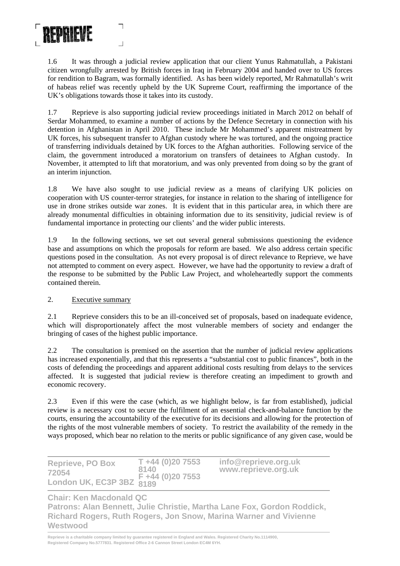

1.6 It was through a judicial review application that our client Yunus Rahmatullah, a Pakistani citizen wrongfully arrested by British forces in Iraq in February 2004 and handed over to US forces for rendition to Bagram, was formally identified. As has been widely reported, Mr Rahmatullah's writ of habeas relief was recently upheld by the UK Supreme Court, reaffirming the importance of the UK's obligations towards those it takes into its custody.

1.7 Reprieve is also supporting judicial review proceedings initiated in March 2012 on behalf of Serdar Mohammed, to examine a number of actions by the Defence Secretary in connection with his detention in Afghanistan in April 2010. These include Mr Mohammed's apparent mistreatment by UK forces, his subsequent transfer to Afghan custody where he was tortured, and the ongoing practice of transferring individuals detained by UK forces to the Afghan authorities. Following service of the claim, the government introduced a moratorium on transfers of detainees to Afghan custody. In November, it attempted to lift that moratorium, and was only prevented from doing so by the grant of an interim injunction.

1.8 We have also sought to use judicial review as a means of clarifying UK policies on cooperation with US counter-terror strategies, for instance in relation to the sharing of intelligence for use in drone strikes outside war zones. It is evident that in this particular area, in which there are already monumental difficulties in obtaining information due to its sensitivity, judicial review is of fundamental importance in protecting our clients' and the wider public interests.

1.9 In the following sections, we set out several general submissions questioning the evidence base and assumptions on which the proposals for reform are based. We also address certain specific questions posed in the consultation. As not every proposal is of direct relevance to Reprieve, we have not attempted to comment on every aspect. However, we have had the opportunity to review a draft of the response to be submitted by the Public Law Project, and wholeheartedly support the comments contained therein.

# 2. Executive summary

2.1 Reprieve considers this to be an ill-conceived set of proposals, based on inadequate evidence, which will disproportionately affect the most vulnerable members of society and endanger the bringing of cases of the highest public importance.

2.2 The consultation is premised on the assertion that the number of judicial review applications has increased exponentially, and that this represents a "substantial cost to public finances", both in the costs of defending the proceedings and apparent additional costs resulting from delays to the services affected. It is suggested that judicial review is therefore creating an impediment to growth and economic recovery.

2.3 Even if this were the case (which, as we highlight below, is far from established), judicial review is a necessary cost to secure the fulfilment of an essential check-and-balance function by the courts, ensuring the accountability of the executive for its decisions and allowing for the protection of the rights of the most vulnerable members of society. To restrict the availability of the remedy in the ways proposed, which bear no relation to the merits or public significance of any given case, would be

| <b>Reprieve, PO Box</b>                       | $T + 44 (0)20 7553$<br>8140 | info@reprieve.org.uk<br>www.reprieve.org.uk |
|-----------------------------------------------|-----------------------------|---------------------------------------------|
| 72054<br>' ondon UK, EC3P 3BZ 8189 (0)20 7553 |                             |                                             |

**Chair: Ken Macdonald QC** 

**Patrons: Alan Bennett, Julie Christie, Martha Lane Fox, Gordon Roddick, Richard Rogers, Ruth Rogers, Jon Snow, Marina Warner and Vivienne Westwood**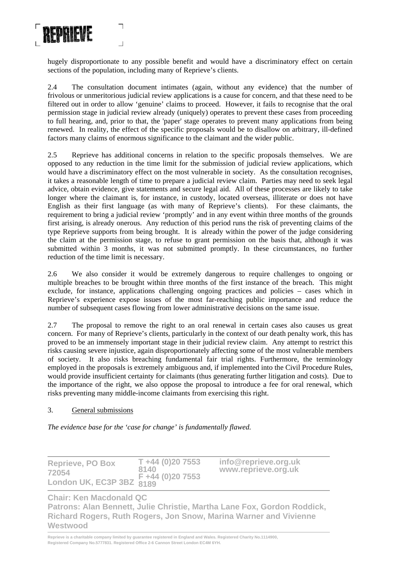

hugely disproportionate to any possible benefit and would have a discriminatory effect on certain sections of the population, including many of Reprieve's clients.

2.4 The consultation document intimates (again, without any evidence) that the number of frivolous or unmeritorious judicial review applications is a cause for concern, and that these need to be filtered out in order to allow 'genuine' claims to proceed. However, it fails to recognise that the oral permission stage in judicial review already (uniquely) operates to prevent these cases from proceeding to full hearing, and, prior to that, the 'paper' stage operates to prevent many applications from being renewed. In reality, the effect of the specific proposals would be to disallow on arbitrary, ill-defined factors many claims of enormous significance to the claimant and the wider public.

2.5 Reprieve has additional concerns in relation to the specific proposals themselves. We are opposed to any reduction in the time limit for the submission of judicial review applications, which would have a discriminatory effect on the most vulnerable in society. As the consultation recognises, it takes a reasonable length of time to prepare a judicial review claim. Parties may need to seek legal advice, obtain evidence, give statements and secure legal aid. All of these processes are likely to take longer where the claimant is, for instance, in custody, located overseas, illiterate or does not have English as their first language (as with many of Reprieve's clients). For these claimants, the requirement to bring a judicial review 'promptly' and in any event within three months of the grounds first arising, is already onerous. Any reduction of this period runs the risk of preventing claims of the type Reprieve supports from being brought. It is already within the power of the judge considering the claim at the permission stage, to refuse to grant permission on the basis that, although it was submitted within 3 months, it was not submitted promptly. In these circumstances, no further reduction of the time limit is necessary.

2.6 We also consider it would be extremely dangerous to require challenges to ongoing or multiple breaches to be brought within three months of the first instance of the breach. This might exclude, for instance, applications challenging ongoing practices and policies – cases which in Reprieve's experience expose issues of the most far-reaching public importance and reduce the number of subsequent cases flowing from lower administrative decisions on the same issue.

2.7 The proposal to remove the right to an oral renewal in certain cases also causes us great concern. For many of Reprieve's clients, particularly in the context of our death penalty work, this has proved to be an immensely important stage in their judicial review claim. Any attempt to restrict this risks causing severe injustice, again disproportionately affecting some of the most vulnerable members of society. It also risks breaching fundamental fair trial rights. Furthermore, the terminology employed in the proposals is extremely ambiguous and, if implemented into the Civil Procedure Rules, would provide insufficient certainty for claimants (thus generating further litigation and costs). Due to the importance of the right, we also oppose the proposal to introduce a fee for oral renewal, which risks preventing many middle-income claimants from exercising this right.

#### 3. General submissions

*The evidence base for the 'case for change' is fundamentally flawed.* 

| <b>Reprieve, PO Box</b>           | $T + 44 (0)20 7553$<br>8140 | info@reprieve.org.uk<br>www.reprieve.org.uk |
|-----------------------------------|-----------------------------|---------------------------------------------|
| 72054<br>London UK, EC3P 3BZ 8189 |                             |                                             |

**Chair: Ken Macdonald QC** 

**Patrons: Alan Bennett, Julie Christie, Martha Lane Fox, Gordon Roddick, Richard Rogers, Ruth Rogers, Jon Snow, Marina Warner and Vivienne Westwood**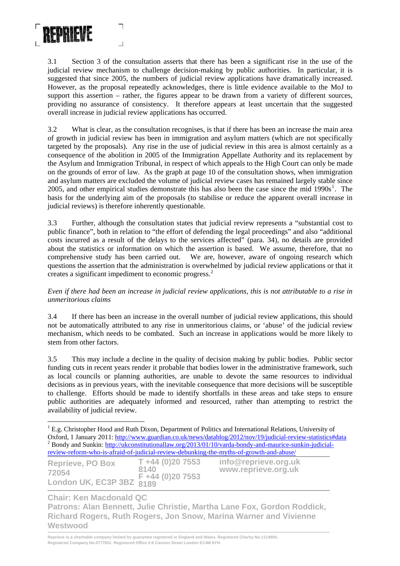

3.1 Section 3 of the consultation asserts that there has been a significant rise in the use of the judicial review mechanism to challenge decision-making by public authorities. In particular, it is suggested that since 2005, the numbers of judicial review applications have dramatically increased. However, as the proposal repeatedly acknowledges, there is little evidence available to the MoJ to support this assertion – rather, the figures appear to be drawn from a variety of different sources, providing no assurance of consistency. It therefore appears at least uncertain that the suggested overall increase in judicial review applications has occurred.

3.2 What is clear, as the consultation recognises, is that if there has been an increase the main area of growth in judicial review has been in immigration and asylum matters (which are not specifically targeted by the proposals). Any rise in the use of judicial review in this area is almost certainly as a consequence of the abolition in 2005 of the Immigration Appellate Authority and its replacement by the Asylum and Immigration Tribunal, in respect of which appeals to the High Court can only be made on the grounds of error of law. As the graph at page 10 of the consultation shows, when immigration and asylum matters are excluded the volume of judicial review cases has remained largely stable since 2005, and other empirical studies demonstrate this has also been the case since the mid  $1990s<sup>1</sup>$  $1990s<sup>1</sup>$ . The basis for the underlying aim of the proposals (to stabilise or reduce the apparent overall increase in judicial reviews) is therefore inherently questionable.

3.3 Further, although the consultation states that judicial review represents a "substantial cost to public finance", both in relation to "the effort of defending the legal proceedings" and also "additional costs incurred as a result of the delays to the services affected" (para. 34), no details are provided about the statistics or information on which the assertion is based. We assume, therefore, that no comprehensive study has been carried out. We are, however, aware of ongoing research which questions the assertion that the administration is overwhelmed by judicial review applications or that it creates a significant impediment to economic progress.<sup>[2](#page-3-1)</sup>

### *Even if there had been an increase in judicial review applications, this is not attributable to a rise in unmeritorious claims*

3.4 If there has been an increase in the overall number of judicial review applications, this should not be automatically attributed to any rise in unmeritorious claims, or 'abuse' of the judicial review mechanism, which needs to be combated. Such an increase in applications would be more likely to stem from other factors.

3.5 This may include a decline in the quality of decision making by public bodies. Public sector funding cuts in recent years render it probable that bodies lower in the administrative framework, such as local councils or planning authorities, are unable to devote the same resources to individual decisions as in previous years, with the inevitable consequence that more decisions will be susceptible to challenge. Efforts should be made to identify shortfalls in these areas and take steps to ensure public authorities are adequately informed and resourced, rather than attempting to restrict the availability of judicial review.

<span id="page-3-0"></span><sup>&</sup>lt;sup>1</sup> E.g. Christopher Hood and Ruth Dixon, Department of Politics and International Relations, University of Oxford, 1 January 2011: [http://www.guardian.co.uk/news/datablog/2012/nov/19/judicial-review-statistics#data](http://www.guardian.co.uk/news/datablog/2012/nov/19/judicial-review-statistics%23data) <sup>2</sup> <sup>2</sup> Bondy and Sunkin: [http://ukconstitutionallaw.org/2013/01/10/varda-bondy-and-maurice-sunkin-judicial](http://ukconstitutionallaw.org/2013/01/10/varda-bondy-and-maurice-sunkin-judicial-review-reform-who-is-afraid-of-judicial-review-debunking-the-myths-of-growth-and-abuse/)[review-reform-who-is-afraid-of-judicial-review-debunking-the-myths-of-growth-and-abuse/](http://ukconstitutionallaw.org/2013/01/10/varda-bondy-and-maurice-sunkin-judicial-review-reform-who-is-afraid-of-judicial-review-debunking-the-myths-of-growth-and-abuse/)

<span id="page-3-1"></span>

| <b>Reprieve, PO Box</b>                         | $T + 44 (0)20 7553$ | info@reprieve.org.uk |
|-------------------------------------------------|---------------------|----------------------|
| 72054                                           | 8140                | www.reprieve.org.uk  |
| London UK, EC3P 3BZ $_{8189}^{F+44}$ (0)20 7553 |                     |                      |

**Chair: Ken Macdonald QC** 

 $\overline{a}$ 

**Patrons: Alan Bennett, Julie Christie, Martha Lane Fox, Gordon Roddick, Richard Rogers, Ruth Rogers, Jon Snow, Marina Warner and Vivienne Westwood**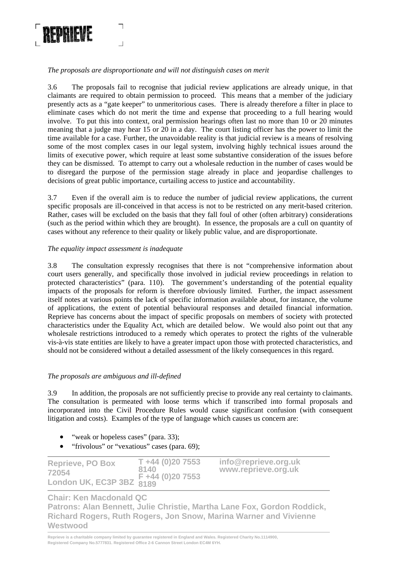

*The proposals are disproportionate and will not distinguish cases on merit* 

3.6 The proposals fail to recognise that judicial review applications are already unique, in that claimants are required to obtain permission to proceed. This means that a member of the judiciary presently acts as a "gate keeper" to unmeritorious cases. There is already therefore a filter in place to eliminate cases which do not merit the time and expense that proceeding to a full hearing would involve. To put this into context, oral permission hearings often last no more than 10 or 20 minutes meaning that a judge may hear 15 or 20 in a day. The court listing officer has the power to limit the time available for a case. Further, the unavoidable reality is that judicial review is a means of resolving some of the most complex cases in our legal system, involving highly technical issues around the limits of executive power, which require at least some substantive consideration of the issues before they can be dismissed. To attempt to carry out a wholesale reduction in the number of cases would be to disregard the purpose of the permission stage already in place and jeopardise challenges to decisions of great public importance, curtailing access to justice and accountability.

3.7 Even if the overall aim is to reduce the number of judicial review applications, the current specific proposals are ill-conceived in that access is not to be restricted on any merit-based criterion. Rather, cases will be excluded on the basis that they fall foul of other (often arbitrary) considerations (such as the period within which they are brought). In essence, the proposals are a cull on quantity of cases without any reference to their quality or likely public value, and are disproportionate.

### *The equality impact assessment is inadequate*

3.8 The consultation expressly recognises that there is not "comprehensive information about court users generally, and specifically those involved in judicial review proceedings in relation to protected characteristics" (para. 110). The government's understanding of the potential equality impacts of the proposals for reform is therefore obviously limited. Further, the impact assessment itself notes at various points the lack of specific information available about, for instance, the volume of applications, the extent of potential behavioural responses and detailed financial information. Reprieve has concerns about the impact of specific proposals on members of society with protected characteristics under the Equality Act, which are detailed below. We would also point out that any wholesale restrictions introduced to a remedy which operates to protect the rights of the vulnerable vis-à-vis state entities are likely to have a greater impact upon those with protected characteristics, and should not be considered without a detailed assessment of the likely consequences in this regard.

#### *The proposals are ambiguous and ill-defined*

3.9 In addition, the proposals are not sufficiently precise to provide any real certainty to claimants. The consultation is permeated with loose terms which if transcribed into formal proposals and incorporated into the Civil Procedure Rules would cause significant confusion (with consequent litigation and costs). Examples of the type of language which causes us concern are:

- "weak or hopeless cases" (para. 33);
- "frivolous" or "vexatious" cases (para. 69);

| <b>Reprieve, PO Box</b>  | $T + 44 (0)20 7553$ | info@reprieve.org.uk |
|--------------------------|---------------------|----------------------|
| 72054                    | 8140                | www.reprieve.org.uk  |
| London UK, EC3P 3BZ 8189 |                     |                      |

# **Chair: Ken Macdonald QC**

**Patrons: Alan Bennett, Julie Christie, Martha Lane Fox, Gordon Roddick, Richard Rogers, Ruth Rogers, Jon Snow, Marina Warner and Vivienne Westwood**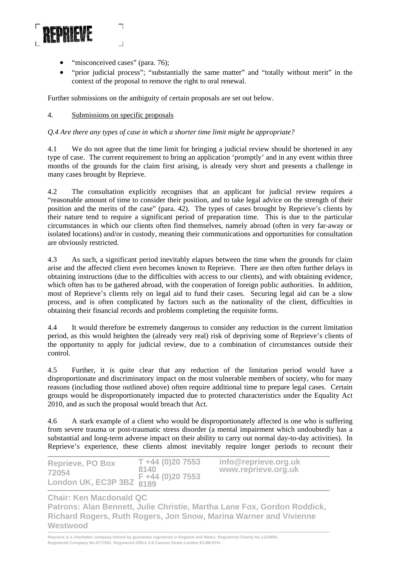

- "misconceived cases" (para. 76);
- "prior judicial process"; "substantially the same matter" and "totally without merit" in the context of the proposal to remove the right to oral renewal.

Further submissions on the ambiguity of certain proposals are set out below.

### 4. Submissions on specific proposals

### *Q.4 Are there any types of case in which a shorter time limit might be appropriate?*

4.1 We do not agree that the time limit for bringing a judicial review should be shortened in any type of case. The current requirement to bring an application 'promptly' and in any event within three months of the grounds for the claim first arising, is already very short and presents a challenge in many cases brought by Reprieve.

4.2 The consultation explicitly recognises that an applicant for judicial review requires a "reasonable amount of time to consider their position, and to take legal advice on the strength of their position and the merits of the case" (para. 42). The types of cases brought by Reprieve's clients by their nature tend to require a significant period of preparation time. This is due to the particular circumstances in which our clients often find themselves, namely abroad (often in very far-away or isolated locations) and/or in custody, meaning their communications and opportunities for consultation are obviously restricted.

4.3 As such, a significant period inevitably elapses between the time when the grounds for claim arise and the affected client even becomes known to Reprieve. There are then often further delays in obtaining instructions (due to the difficulties with access to our clients), and with obtaining evidence, which often has to be gathered abroad, with the cooperation of foreign public authorities. In addition, most of Reprieve's clients rely on legal aid to fund their cases. Securing legal aid can be a slow process, and is often complicated by factors such as the nationality of the client, difficulties in obtaining their financial records and problems completing the requisite forms.

4.4 It would therefore be extremely dangerous to consider any reduction in the current limitation period, as this would heighten the (already very real) risk of depriving some of Reprieve's clients of the opportunity to apply for judicial review, due to a combination of circumstances outside their control.

4.5 Further, it is quite clear that any reduction of the limitation period would have a disproportionate and discriminatory impact on the most vulnerable members of society, who for many reasons (including those outlined above) often require additional time to prepare legal cases. Certain groups would be disproportionately impacted due to protected characteristics under the Equality Act 2010, and as such the proposal would breach that Act.

4.6 A stark example of a client who would be disproportionately affected is one who is suffering from severe trauma or post-traumatic stress disorder (a mental impairment which undoubtedly has a substantial and long-term adverse impact on their ability to carry out normal day-to-day activities). In Reprieve's experience, these clients almost inevitably require longer periods to recount their

| <b>Reprieve, PO Box</b>                  | $T + 44 (0)20 7553$ | info@reprieve.org.uk |
|------------------------------------------|---------------------|----------------------|
| 72054                                    | 8140                | www.reprieve.org.uk  |
| $F_{2034}$<br>London UK, EC3P 3BZ $8189$ |                     |                      |

**Chair: Ken Macdonald QC** 

**Patrons: Alan Bennett, Julie Christie, Martha Lane Fox, Gordon Roddick, Richard Rogers, Ruth Rogers, Jon Snow, Marina Warner and Vivienne Westwood**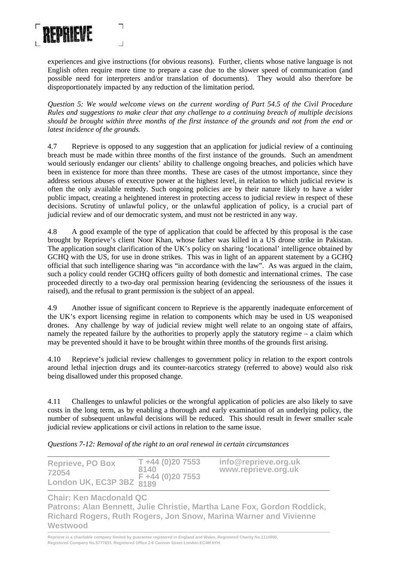

experiences and give instructions (for obvious reasons). Further, clients whose native language is not English often require more time to prepare a case due to the slower speed of communication (and possible need for interpreters and/or translation of documents). They would also therefore be disproportionately impacted by any reduction of the limitation period.

*Question 5: We would welcome views on the current wording of Part 54.5 of the Civil Procedure Rules and suggestions to make clear that any challenge to a continuing breach of multiple decisions should be brought within three months of the first instance of the grounds and not from the end or latest incidence of the grounds.* 

4.7 Reprieve is opposed to any suggestion that an application for judicial review of a continuing breach must be made within three months of the first instance of the grounds. Such an amendment would seriously endanger our clients' ability to challenge ongoing breaches, and policies which have been in existence for more than three months. These are cases of the utmost importance, since they address serious abuses of executive power at the highest level, in relation to which judicial review is often the only available remedy. Such ongoing policies are by their nature likely to have a wider public impact, creating a heightened interest in protecting access to judicial review in respect of these decisions. Scrutiny of unlawful policy, or the unlawful application of policy, is a crucial part of judicial review and of our democratic system, and must not be restricted in any way.

4.8 A good example of the type of application that could be affected by this proposal is the case brought by Reprieve's client Noor Khan, whose father was killed in a US drone strike in Pakistan. The application sought clarification of the UK's policy on sharing 'locational' intelligence obtained by GCHQ with the US, for use in drone strikes. This was in light of an apparent statement by a GCHQ official that such intelligence sharing was "in accordance with the law". As was argued in the claim, such a policy could render GCHQ officers guilty of both domestic and international crimes. The case proceeded directly to a two-day oral permission hearing (evidencing the seriousness of the issues it raised), and the refusal to grant permission is the subject of an appeal.

4.9 Another issue of significant concern to Reprieve is the apparently inadequate enforcement of the UK's export licensing regime in relation to components which may be used in US weaponised drones. Any challenge by way of judicial review might well relate to an ongoing state of affairs, namely the repeated failure by the authorities to properly apply the statutory regime – a claim which may be prevented should it have to be brought within three months of the grounds first arising.

4.10 Reprieve's judicial review challenges to government policy in relation to the export controls around lethal injection drugs and its counter-narcotics strategy (referred to above) would also risk being disallowed under this proposed change.

4.11 Challenges to unlawful policies or the wrongful application of policies are also likely to save costs in the long term, as by enabling a thorough and early examination of an underlying policy, the number of subsequent unlawful decisions will be reduced. This should result in fewer smaller scale judicial review applications or civil actions in relation to the same issue.

*Questions 7-12: Removal of the right to an oral renewal in certain circumstances* 

| <b>Reprieve, PO Box</b>                                 | $T + 44 (0)20 7553$ | info@reprieve.org.uk |
|---------------------------------------------------------|---------------------|----------------------|
| 72054                                                   | 8140                | www.reprieve.org.uk  |
| $F_{20}$ = F +44 (0)20 7553<br>London UK, EC3P 3BZ 8189 |                     |                      |

**Chair: Ken Macdonald QC** 

**Patrons: Alan Bennett, Julie Christie, Martha Lane Fox, Gordon Roddick, Richard Rogers, Ruth Rogers, Jon Snow, Marina Warner and Vivienne Westwood**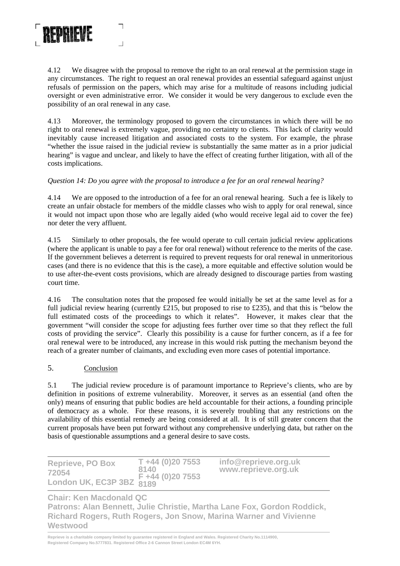

4.12 We disagree with the proposal to remove the right to an oral renewal at the permission stage in any circumstances. The right to request an oral renewal provides an essential safeguard against unjust refusals of permission on the papers, which may arise for a multitude of reasons including judicial oversight or even administrative error. We consider it would be very dangerous to exclude even the possibility of an oral renewal in any case.

4.13 Moreover, the terminology proposed to govern the circumstances in which there will be no right to oral renewal is extremely vague, providing no certainty to clients. This lack of clarity would inevitably cause increased litigation and associated costs to the system. For example, the phrase "whether the issue raised in the judicial review is substantially the same matter as in a prior judicial hearing" is vague and unclear, and likely to have the effect of creating further litigation, with all of the costs implications.

# *Question 14: Do you agree with the proposal to introduce a fee for an oral renewal hearing?*

4.14 We are opposed to the introduction of a fee for an oral renewal hearing. Such a fee is likely to create an unfair obstacle for members of the middle classes who wish to apply for oral renewal, since it would not impact upon those who are legally aided (who would receive legal aid to cover the fee) nor deter the very affluent.

4.15 Similarly to other proposals, the fee would operate to cull certain judicial review applications (where the applicant is unable to pay a fee for oral renewal) without reference to the merits of the case. If the government believes a deterrent is required to prevent requests for oral renewal in unmeritorious cases (and there is no evidence that this is the case), a more equitable and effective solution would be to use after-the-event costs provisions, which are already designed to discourage parties from wasting court time.

4.16 The consultation notes that the proposed fee would initially be set at the same level as for a full judicial review hearing (currently £215, but proposed to rise to £235), and that this is "below the full estimated costs of the proceedings to which it relates". However, it makes clear that the government "will consider the scope for adjusting fees further over time so that they reflect the full costs of providing the service". Clearly this possibility is a cause for further concern, as if a fee for oral renewal were to be introduced, any increase in this would risk putting the mechanism beyond the reach of a greater number of claimants, and excluding even more cases of potential importance.

#### 5. Conclusion

5.1 The judicial review procedure is of paramount importance to Reprieve's clients, who are by definition in positions of extreme vulnerability. Moreover, it serves as an essential (and often the only) means of ensuring that public bodies are held accountable for their actions, a founding principle of democracy as a whole. For these reasons, it is severely troubling that any restrictions on the availability of this essential remedy are being considered at all. It is of still greater concern that the current proposals have been put forward without any comprehensive underlying data, but rather on the basis of questionable assumptions and a general desire to save costs.

| <b>Reprieve, PO Box</b>  | $T + 44(0)207553$ | info@reprieve.org.uk |
|--------------------------|-------------------|----------------------|
| 72054                    | 8140              | www.reprieve.org.uk  |
| London UK, EC3P 3BZ 8189 |                   |                      |

**Chair: Ken Macdonald QC** 

**Patrons: Alan Bennett, Julie Christie, Martha Lane Fox, Gordon Roddick, Richard Rogers, Ruth Rogers, Jon Snow, Marina Warner and Vivienne Westwood**